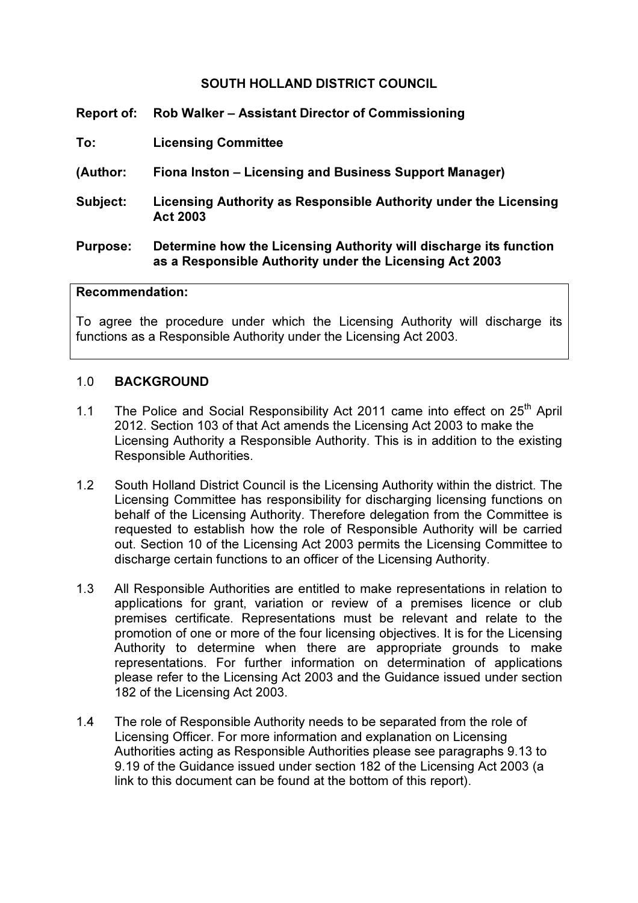### SOUTH HOLLAND DISTRICT COUNCIL

- Report of: Rob Walker Assistant Director of Commissioning
- To: Licensing Committee
- (Author: Fiona Inston Licensing and Business Support Manager)
- Subject: Licensing Authority as Responsible Authority under the Licensing Act 2003
- Purpose: Determine how the Licensing Authority will discharge its function as a Responsible Authority under the Licensing Act 2003

#### Recommendation:

To agree the procedure under which the Licensing Authority will discharge its functions as a Responsible Authority under the Licensing Act 2003.

#### 1.0 BACKGROUND

- 1.1 The Police and Social Responsibility Act 2011 came into effect on 25<sup>th</sup> April 2012. Section 103 of that Act amends the Licensing Act 2003 to make the Licensing Authority a Responsible Authority. This is in addition to the existing Responsible Authorities.
- 1.2 South Holland District Council is the Licensing Authority within the district. The Licensing Committee has responsibility for discharging licensing functions on behalf of the Licensing Authority. Therefore delegation from the Committee is requested to establish how the role of Responsible Authority will be carried out. Section 10 of the Licensing Act 2003 permits the Licensing Committee to discharge certain functions to an officer of the Licensing Authority.
- 1.3 All Responsible Authorities are entitled to make representations in relation to applications for grant, variation or review of a premises licence or club premises certificate. Representations must be relevant and relate to the promotion of one or more of the four licensing objectives. It is for the Licensing Authority to determine when there are appropriate grounds to make representations. For further information on determination of applications please refer to the Licensing Act 2003 and the Guidance issued under section 182 of the Licensing Act 2003.
- 1.4 The role of Responsible Authority needs to be separated from the role of Licensing Officer. For more information and explanation on Licensing Authorities acting as Responsible Authorities please see paragraphs 9.13 to 9.19 of the Guidance issued under section 182 of the Licensing Act 2003 (a link to this document can be found at the bottom of this report).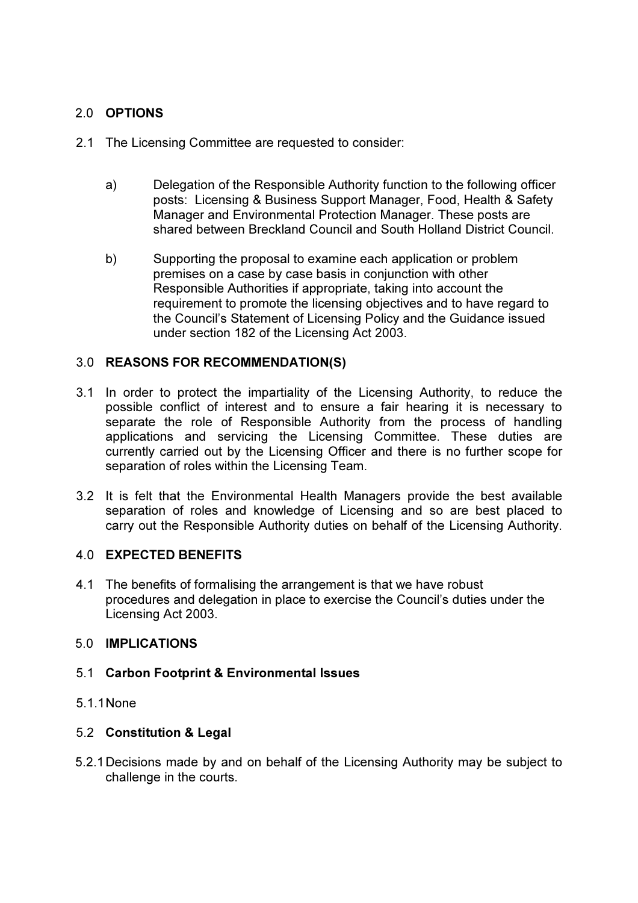# 2.0 OPTIONS

- 2.1 The Licensing Committee are requested to consider:
	- a) Delegation of the Responsible Authority function to the following officer posts: Licensing & Business Support Manager, Food, Health & Safety Manager and Environmental Protection Manager. These posts are shared between Breckland Council and South Holland District Council.
	- b) Supporting the proposal to examine each application or problem premises on a case by case basis in conjunction with other Responsible Authorities if appropriate, taking into account the requirement to promote the licensing objectives and to have regard to the Council's Statement of Licensing Policy and the Guidance issued under section 182 of the Licensing Act 2003.

# 3.0 REASONS FOR RECOMMENDATION(S)

- 3.1 In order to protect the impartiality of the Licensing Authority, to reduce the possible conflict of interest and to ensure a fair hearing it is necessary to separate the role of Responsible Authority from the process of handling applications and servicing the Licensing Committee. These duties are currently carried out by the Licensing Officer and there is no further scope for separation of roles within the Licensing Team.
- 3.2 It is felt that the Environmental Health Managers provide the best available separation of roles and knowledge of Licensing and so are best placed to carry out the Responsible Authority duties on behalf of the Licensing Authority.

# 4.0 EXPECTED BENEFITS

4.1 The benefits of formalising the arrangement is that we have robust procedures and delegation in place to exercise the Council's duties under the Licensing Act 2003.

### 5.0 IMPLICATIONS

### 5.1 Carbon Footprint & Environmental Issues

# 5.1.1None

# 5.2 Constitution & Legal

5.2.1Decisions made by and on behalf of the Licensing Authority may be subject to challenge in the courts.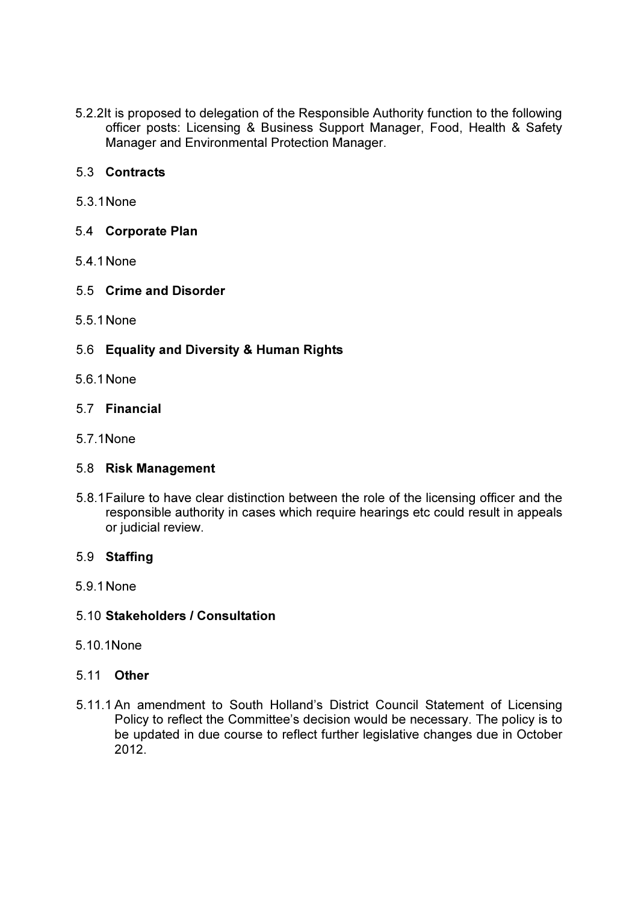5.2.2It is proposed to delegation of the Responsible Authority function to the following officer posts: Licensing & Business Support Manager, Food, Health & Safety Manager and Environmental Protection Manager.

### 5.3 Contracts

5.3.1 None

### 5.4 Corporate Plan

5.4.1None

### 5.5 Crime and Disorder

5.5.1None

# 5.6 Equality and Diversity & Human Rights

5.6.1 None

### 5.7 Financial

5.7.1None

### 5.8 Risk Management

5.8.1 Failure to have clear distinction between the role of the licensing officer and the responsible authority in cases which require hearings etc could result in appeals or judicial review.

### 5.9 Staffing

5.9.1 None

### 5.10 Stakeholders / Consultation

5.10.1None

### 5.11 Other

5.11.1 An amendment to South Holland's District Council Statement of Licensing Policy to reflect the Committee's decision would be necessary. The policy is to be updated in due course to reflect further legislative changes due in October 2012.